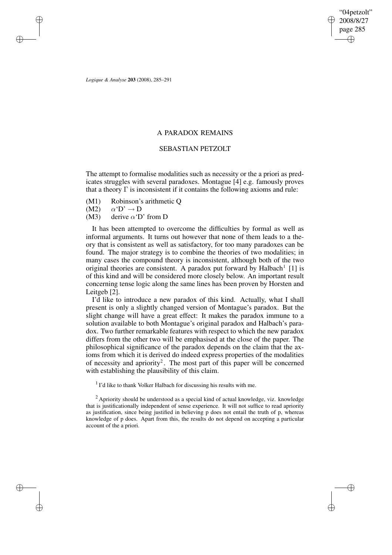"04petzolt" 2008/8/27 page 285 ✐ ✐

✐

✐

*Logique & Analyse* **203** (2008), 285–291

✐

✐

✐

✐

# A PARADOX REMAINS

## SEBASTIAN PETZOLT

The attempt to formalise modalities such as necessity or the a priori as predicates struggles with several paradoxes. Montague [4] e.g. famously proves that a theory  $\Gamma$  is inconsistent if it contains the following axioms and rule:

- (M1) Robinson's arithmetic Q
- $(M2) \qquad \alpha' D' \rightarrow D$
- (M3) derive  $\alpha'$ D' from D

It has been attempted to overcome the difficulties by formal as well as informal arguments. It turns out however that none of them leads to a theory that is consistent as well as satisfactory, for too many paradoxes can be found. The major strategy is to combine the theories of two modalities; in many cases the compound theory is inconsistent, although both of the two original theories are consistent. A paradox put forward by Halbach<sup>1</sup> [1] is of this kind and will be considered more closely below. An important result concerning tense logic along the same lines has been proven by Horsten and Leitgeb [2].

I'd like to introduce a new paradox of this kind. Actually, what I shall present is only a slightly changed version of Montague's paradox. But the slight change will have a great effect: It makes the paradox immune to a solution available to both Montague's original paradox and Halbach's paradox. Two further remarkable features with respect to which the new paradox differs from the other two will be emphasised at the close of the paper. The philosophical significance of the paradox depends on the claim that the axioms from which it is derived do indeed express properties of the modalities of necessity and apriority<sup>2</sup>. The most part of this paper will be concerned with establishing the plausibility of this claim.

<sup>1</sup> I'd like to thank Volker Halbach for discussing his results with me.

<sup>2</sup> Apriority should be understood as a special kind of actual knowledge, viz. knowledge that is justificationally independent of sense experience. It will not suffice to read apriority as justification, since being justified in believing p does not entail the truth of p, whereas knowledge of p does. Apart from this, the results do not depend on accepting a particular account of the a priori.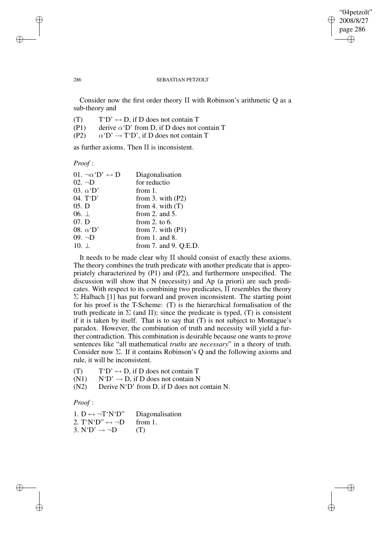✐

✐

#### 286 SEBASTIAN PETZOLT

Consider now the first order theory Π with Robinson's arithmetic Q as a sub-theory and

- (T)  $T'D' \leftrightarrow D$ , if D does not contain T
- (P1) derive  $\alpha'$ D' from D, if D does not contain T
- (P2)  $\alpha' D' \rightarrow T' D'$ , if D does not contain T

as further axioms. Then Π is inconsistent.

*Proof* :

| 01. $\neg \alpha$ <sup>'</sup> D' $\leftrightarrow$ D | Diagonalisation       |
|-------------------------------------------------------|-----------------------|
| $02. \neg D$                                          | for reductio          |
| 03. $\alpha$ <sup>'</sup> D'                          | from 1.               |
| 04. T'D'                                              | from 3. with $(P2)$   |
| 05. D                                                 | from 4. with $(T)$    |
| 06. $\perp$                                           | from 2. and $5$ .     |
| 07. D                                                 | from 2. to $6$ .      |
| 08. $\alpha$ <sup>'</sup> D'                          | from 7. with $(P1)$   |
| $09. \neg D$                                          | from $1.$ and $8.$    |
| 10. $\perp$                                           | from 7. and 9. Q.E.D. |
|                                                       |                       |

It needs to be made clear why Π should consist of exactly these axioms. The theory combines the truth predicate with another predicate that is appropriately characterized by (P1) and (P2), and furthermore unspecified. The discussion will show that N (necessity) and Ap (a priori) are such predicates. With respect to its combining two predicates, Π resembles the theory  $\Sigma$  Halbach [1] has put forward and proven inconsistent. The starting point for his proof is the T-Scheme: (T) is the hierarchical formalisation of the truth predicate in  $\Sigma$  (and  $\Pi$ ); since the predicate is typed, (T) is consistent if it is taken by itself. That is to say that (T) is not subject to Montague's paradox. However, the combination of truth and necessity will yield a further contradiction. This combination is desirable because one wants to prove sentences like "all mathematical *truths* are *necessary*" in a theory of truth. Consider now  $\Sigma$ . If it contains Robinson's Q and the following axioms and rule, it will be inconsistent.

- (T)  $T'D' \leftrightarrow D$ , if D does not contain T
- (N1)  $N'D' \rightarrow D$ , if D does not contain N
- (N2) Derive N'D' from D, if D does not contain N.

*Proof* :

✐

✐

| 1. D $\leftrightarrow \neg T' N' D''$ | Diagonalisation |
|---------------------------------------|-----------------|
| 2. $T'N'D'' \leftrightarrow \neg D$   | from 1.         |
| 3. $N'D' \rightarrow \neg D$          | (T)             |

✐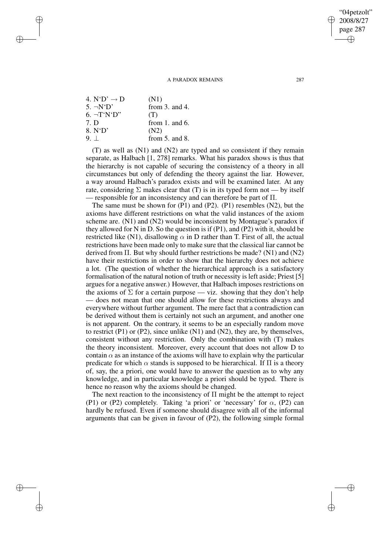A PARADOX REMAINS 287

| 4. $N'D' \rightarrow D$        | (N1)               |
|--------------------------------|--------------------|
| $5. \neg N^{\prime}D^{\prime}$ | from $3.$ and $4.$ |
| $6. \neg T' N' D''$            | (T)                |
| 7. D                           | from 1. and $6$ .  |
| 8. N'D'                        | (N2)               |
| 9.1                            | from $5.$ and $8.$ |

✐

✐

✐

✐

(T) as well as (N1) and (N2) are typed and so consistent if they remain separate, as Halbach [1, 278] remarks. What his paradox shows is thus that the hierarchy is not capable of securing the consistency of a theory in all circumstances but only of defending the theory against the liar. However, a way around Halbach's paradox exists and will be examined later. At any rate, considering  $\Sigma$  makes clear that (T) is in its typed form not — by itself — responsible for an inconsistency and can therefore be part of  $\Pi$ .

The same must be shown for (P1) and (P2). (P1) resembles (N2), but the axioms have different restrictions on what the valid instances of the axiom scheme are. (N1) and (N2) would be inconsistent by Montague's paradox if they allowed for N in D. So the question is if  $(P1)$ , and  $(P2)$  with it, should be restricted like (N1), disallowing  $\alpha$  in D rather than T. First of all, the actual restrictions have been made only to make sure that the classical liar cannot be derived from  $\Pi$ . But why should further restrictions be made? (N1) and (N2) have their restrictions in order to show that the hierarchy does not achieve a lot. (The question of whether the hierarchical approach is a satisfactory formalisation of the natural notion of truth or necessity is left aside; Priest [5] argues for a negative answer.) However, that Halbach imposes restrictions on the axioms of  $\Sigma$  for a certain purpose — viz. showing that they don't help — does not mean that one should allow for these restrictions always and everywhere without further argument. The mere fact that a contradiction can be derived without them is certainly not such an argument, and another one is not apparent. On the contrary, it seems to be an especially random move to restrict (P1) or (P2), since unlike (N1) and (N2), they are, by themselves, consistent without any restriction. Only the combination with (T) makes the theory inconsistent. Moreover, every account that does not allow D to contain  $\alpha$  as an instance of the axioms will have to explain why the particular predicate for which  $\alpha$  stands is supposed to be hierarchical. If  $\Pi$  is a theory of, say, the a priori, one would have to answer the question as to why any knowledge, and in particular knowledge a priori should be typed. There is hence no reason why the axioms should be changed.

The next reaction to the inconsistency of Π might be the attempt to reject (P1) or (P2) completely. Taking 'a priori' or 'necessary' for  $\alpha$ , (P2) can hardly be refused. Even if someone should disagree with all of the informal arguments that can be given in favour of (P2), the following simple formal

"04petzolt" 2008/8/27 page 287

✐

✐

✐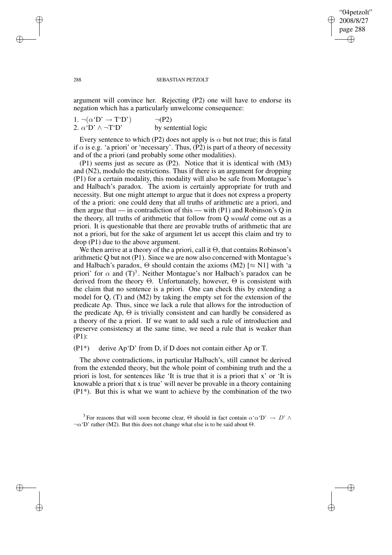### "04petzolt" 2008/8/27 page 288 ✐ ✐

✐

✐

### 288 SEBASTIAN PETZOLT

argument will convince her. Rejecting (P2) one will have to endorse its negation which has a particularly unwelcome consequence:

1.  $\neg(\alpha' D' \rightarrow T' D')$   $\neg(P2)$ 2.  $\alpha'$ D'  $\land \neg$ T'D' by sentential logic

Every sentence to which (P2) does not apply is  $\alpha$  but not true; this is fatal if  $\alpha$  is e.g. 'a priori' or 'necessary'. Thus, (P2) is part of a theory of necessity and of the a priori (and probably some other modalities).

(P1) seems just as secure as (P2). Notice that it is identical with (M3) and (N2), modulo the restrictions. Thus if there is an argument for dropping (P1) for a certain modality, this modality will also be safe from Montague's and Halbach's paradox. The axiom is certainly appropriate for truth and necessity. But one might attempt to argue that it does not express a property of the a priori: one could deny that all truths of arithmetic are a priori, and then argue that — in contradiction of this — with (P1) and Robinson's Q in the theory, all truths of arithmetic that follow from Q *would* come out as a priori. It is questionable that there are provable truths of arithmetic that are not a priori, but for the sake of argument let us accept this claim and try to drop (P1) due to the above argument.

We then arrive at a theory of the a priori, call it  $\Theta$ , that contains Robinson's arithmetic Q but not (P1). Since we are now also concerned with Montague's and Halbach's paradox,  $\Theta$  should contain the axioms (M2) [ $\approx$  N1] with 'a priori' for  $\alpha$  and  $(T)^3$ . Neither Montague's nor Halbach's paradox can be derived from the theory  $\Theta$ . Unfortunately, however,  $\Theta$  is consistent with the claim that no sentence is a priori. One can check this by extending a model for  $Q$ ,  $(T)$  and  $(M2)$  by taking the empty set for the extension of the predicate Ap. Thus, since we lack a rule that allows for the introduction of the predicate Ap,  $\Theta$  is trivially consistent and can hardly be considered as a theory of the a priori. If we want to add such a rule of introduction and preserve consistency at the same time, we need a rule that is weaker than (P1):

# (P1\*) derive Ap'D' from D, if D does not contain either Ap or T.

The above contradictions, in particular Halbach's, still cannot be derived from the extended theory, but the whole point of combining truth and the a priori is lost, for sentences like 'It is true that it is a priori that x' or 'It is knowable a priori that x is true' will never be provable in a theory containing  $(P1*)$ . But this is what we want to achieve by the combination of the two

✐

✐

✐

<sup>&</sup>lt;sup>3</sup> For reasons that will soon become clear,  $\Theta$  should in fact contain  $\alpha \alpha' D' \to D' \wedge \Phi$  $\neg \alpha'$ D' rather (M2). But this does not change what else is to be said about  $\Theta$ .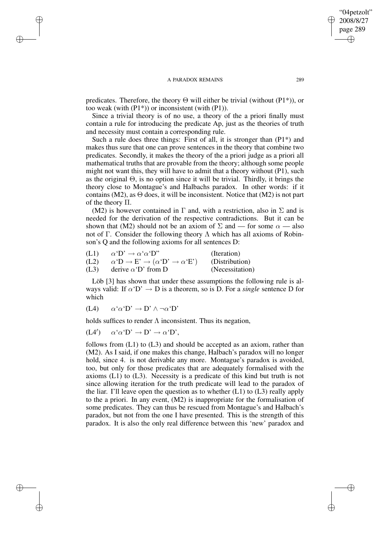#### A PARADOX REMAINS 289

predicates. Therefore, the theory  $\Theta$  will either be trivial (without (P1<sup>\*</sup>)), or too weak (with (P1\*)) or inconsistent (with (P1)).

Since a trivial theory is of no use, a theory of the a priori finally must contain a rule for introducing the predicate Ap, just as the theories of truth and necessity must contain a corresponding rule.

Such a rule does three things: First of all, it is stronger than  $(P1^*)$  and makes thus sure that one can prove sentences in the theory that combine two predicates. Secondly, it makes the theory of the a priori judge as a priori all mathematical truths that are provable from the theory; although some people might not want this, they will have to admit that a theory without (P1), such as the original Θ, is no option since it will be trivial. Thirdly, it brings the theory close to Montague's and Halbachs paradox. In other words: if it contains (M2), as  $\Theta$  does, it will be inconsistent. Notice that (M2) is not part of the theory  $\Pi$ .

(M2) is however contained in  $\Gamma$  and, with a restriction, also in  $\Sigma$  and is needed for the derivation of the respective contradictions. But it can be shown that (M2) should not be an axiom of  $\Sigma$  and — for some  $\alpha$  — also not of Γ. Consider the following theory Λ which has all axioms of Robinson's Q and the following axioms for all sentences D:

| (L1) | $\alpha' D' \rightarrow \alpha' \alpha' D''$                               | (Iteration)     |
|------|----------------------------------------------------------------------------|-----------------|
| (L2) | $\alpha' D \rightarrow E' \rightarrow (\alpha' D' \rightarrow \alpha' E')$ | (Distribution)  |
| (L3) | derive $\alpha'$ D' from D                                                 | (Necessitation) |

Löb [3] has shown that under these assumptions the following rule is always valid: If  $\alpha' D' \rightarrow D$  is a theorem, so is D. For a *single* sentence D for which

$$
(L4) \qquad \alpha \, \alpha \, {}^{\prime}D' \rightarrow D' \wedge \neg \alpha \, {}^{\prime}D'
$$

✐

✐

✐

✐

holds suffices to render  $\Lambda$  inconsistent. Thus its negation,

 $(L4')$  $\alpha \, \hat{\,} \alpha \, \hat{\,} \mathbf{D} \, \hat{\,} \rightarrow \mathbf{D} \, \hat{\,} \rightarrow \alpha \, \hat{\,} \mathbf{D} \, \hat{\,} \,,$ 

follows from  $(L1)$  to  $(L3)$  and should be accepted as an axiom, rather than (M2). As I said, if one makes this change, Halbach's paradox will no longer hold, since 4. is not derivable any more. Montague's paradox is avoided, too, but only for those predicates that are adequately formalised with the axioms (L1) to (L3). Necessity is a predicate of this kind but truth is not since allowing iteration for the truth predicate will lead to the paradox of the liar. I'll leave open the question as to whether  $(L1)$  to  $(L3)$  really apply to the a priori. In any event, (M2) is inappropriate for the formalisation of some predicates. They can thus be rescued from Montague's and Halbach's paradox, but not from the one I have presented. This is the strength of this paradox. It is also the only real difference between this 'new' paradox and

"04petzolt" 2008/8/27 page 289

✐

✐

✐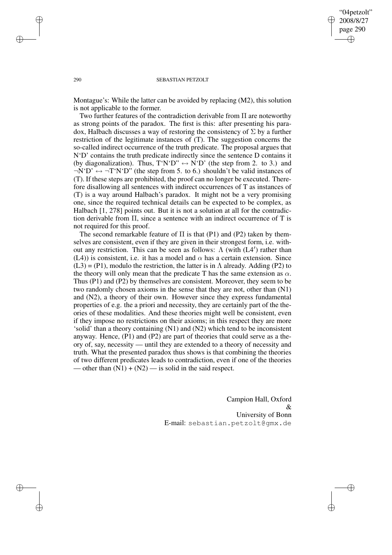"04petzolt" 2008/8/27 page 290 ✐ ✐

✐

✐

### 290 SEBASTIAN PETZOLT

Montague's: While the latter can be avoided by replacing (M2), this solution is not applicable to the former.

Two further features of the contradiction derivable from Π are noteworthy as strong points of the paradox. The first is this: after presenting his paradox, Halbach discusses a way of restoring the consistency of  $\Sigma$  by a further restriction of the legitimate instances of (T). The suggestion concerns the so-called indirect occurrence of the truth predicate. The proposal argues that N'D' contains the truth predicate indirectly since the sentence D contains it (by diagonalization). Thus,  $T'N'D'' \leftrightarrow N'D'$  (the step from 2. to 3.) and  $\neg N'D' \leftrightarrow \neg T'N'D''$  (the step from 5. to 6.) shouldn't be valid instances of (T). If these steps are prohibited, the proof can no longer be executed. Therefore disallowing all sentences with indirect occurrences of T as instances of (T) is a way around Halbach's paradox. It might not be a very promising one, since the required technical details can be expected to be complex, as Halbach [1, 278] points out. But it is not a solution at all for the contradiction derivable from Π, since a sentence with an indirect occurrence of T is not required for this proof.

The second remarkable feature of  $\Pi$  is that (P1) and (P2) taken by themselves are consistent, even if they are given in their strongest form, i.e. without any restriction. This can be seen as follows:  $Λ$  (with  $(L4')$  rather than (L4)) is consistent, i.e. it has a model and  $\alpha$  has a certain extension. Since  $(L3) = (P1)$ , modulo the restriction, the latter is in  $\Lambda$  already. Adding (P2) to the theory will only mean that the predicate T has the same extension as  $\alpha$ . Thus (P1) and (P2) by themselves are consistent. Moreover, they seem to be two randomly chosen axioms in the sense that they are not, other than (N1) and  $(N2)$ , a theory of their own. However since they express fundamental properties of e.g. the a priori and necessity, they are certainly part of the theories of these modalities. And these theories might well be consistent, even if they impose no restrictions on their axioms; in this respect they are more 'solid' than a theory containing (N1) and (N2) which tend to be inconsistent anyway. Hence, (P1) and (P2) are part of theories that could serve as a theory of, say, necessity — until they are extended to a theory of necessity and truth. What the presented paradox thus shows is that combining the theories of two different predicates leads to contradiction, even if one of the theories — other than  $(N1) + (N2)$  — is solid in the said respect.

> Campion Hall, Oxford  $\mathcal{R}$ University of Bonn E-mail: sebastian.petzolt@gmx.de

✐

✐

✐